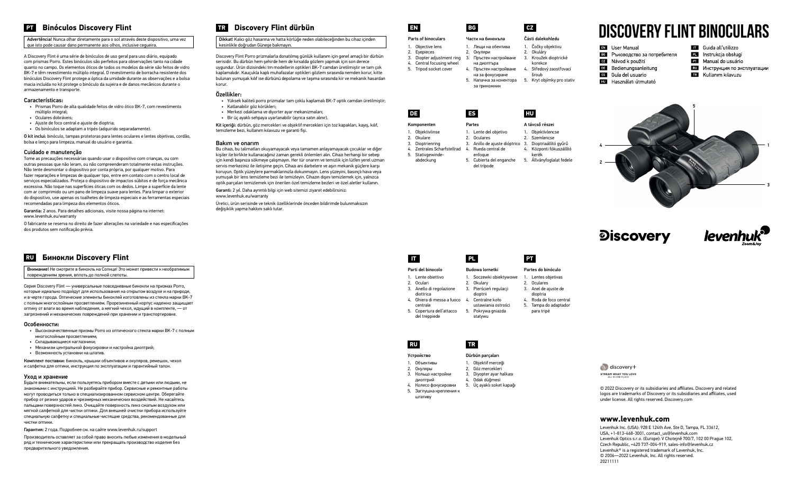## **PT** Binóculos Discovery Flint

Advertência! Nunca olhar diretamente para o sol através deste dispositivo, uma vez que isto pode causar dano permanente aos olhos, inclusive cegueira.

A Discovery Flint é uma série de binóculos de uso geral para uso diário, equipado com prismas Porro. Estes binóculos são perfeitos para observações tanto na cidade quanto no campo. Os elementos óticos de todos os modelos da série são feitos de vidro BK-7 e têm revestimento múltiplo integral. O revestimento de borracha resistente dos binóculos Discovery Flint protege a óptica da umidade durante as observações e a bolsa macia incluída no kit protege o binóculo da sujeira e de danos mecânicos durante o armazenamento e transporte.

## Características:

- Prismas Porro de alta qualidade feitos de vidro ótico BK-7, com revestimento múltiplo integral;
- Oculares dobráveis;
- Ajuste de foco central e ajuste de dioptria;
- Os binóculos se adaptam a tripés (adquirido separadamente).

O kit inclui: binóculo, tampas protetoras para lentes oculares e lentes objetivas, cordão, bolsa e lenço para limpeza, manual do usuário e garantia.

## Cuidado e manutenção

Tome as precauções necessárias quando usar o dispositivo com crianças, ou com outras pessoas que não leram, ou não compreenderam totalmente estas instruções. Não tente desmontar o dispositivo por conta própria, por qualquer motivo. Para fazer reparações e limpezas de qualquer tipo, entre em contato com o centro local de serviços especializados. Proteja o dispositivo de impactos súbitos e de força mecânica excessiva. Não toque nas superfícies óticas com os dedos. Limpe a superfície da lente com ar comprimido ou um pano de limpeza suave para lentes. Para limpar o exterior do dispositivo, use apenas os toalhetes de limpeza especiais e as ferramentas especiais recomendadas para limpeza dos elementos óticos.

Garantia: 2 anos. Para detalhes adicionais, visite nossa página na internet: www.levenhuk.eu/warranty

O fabricante se reserva no direito de fazer alterações na variedade e nas especificações dos produtos sem notificação prévia.

## **TR Discovery Flint dürbün**

Dikkat! Kalıcı göz hasarına ve hatta körlüğe neden olabileceğinden bu cihaz içinden kesinlikle doğrudan Güneşe bakmayın.

Discovery Flint Porro prizmalarla donatılmış günlük kullanım için genel amaçlı bir dürbün serisidir. Bu dürbün hem şehirde hem de kırsalda gözlem yapmak için son derece uygundur. Ürün dizisindeki tm modellerin optikleri BK-7 camdan üretilmiştir ve tam çok kaplamalıdır. Kauçukla kaplı muhafazalar optikleri gözlem sırasında nemden korur, kitte bulunan yumuşak kılıf ise dürbünü depolama ve taşıma sırasında kir ve mekanik hasardan korur.

## Özellikler:

- Yüksek kaliteli porro prizmalar tam çoklu kaplamalı BK-7 optik camdan üretilmiştir;
- Katlanabilir göz körükleri;
- Merkezi odaklama ve diyorter ayar mekanizmaları;
- Bir üç ayaklı sehpaya uyarlanabilir (ayrıca satın alınır).

Kit içeriği: dürbün, göz mercekleri ve objektif mercekleri için toz kapakları, kayış, kılıf, temizleme bezi, kullanım kılavuzu ve garanti fişi.

## Bakım ve onarım

Bu cihazı, bu talimatları okuyamayacak veya tamamen anlayamayacak çocuklar ve diğer kişiler ile birlikte kullanacağınız zaman gerekli önlemleri alın. Cihazı herhangi bir sebep için kendi başınıza sökmeye çalışmayın. Her tür onarım ve temizlik için lütfen yerel uzman servis merkeziniz ile iletişime geçin. Cihazı ani darbelere ve aşırı mekanik güçlere karşı koruyun. Optik yüzeylere parmaklarınızla dokunmayın. Lens yüzeyini, basınçlı hava veya yumuşak bir lens temizleme bezi ile temizleyin. Cihazın dışını temizlemek için, yalnızca optik parçaları temizlemek için önerilen özel temizleme bezleri ve özel aletler kullanın.

#### Parti del binocolo 1. Lente obiettivo **Budowa lornetk**

Garanti: 2 yıl. Daha ayrıntılı bilgi için web sitemizi ziyaret edebilirsiniz: www.levenhuk.eu/warranty

Üretici, ürün serisinde ve teknik özelliklerinde önceden bildirimde bulunmaksızın değişiklik yapma hakkını saklı tutar.

## **RU Бинокли Discovery Flint**

Внимание! Не смотрите в бинокль на Солнце! Это может привести к необратимым повреждениям зрения, вплоть до полной слепоты.

Серия Discovery Flint — универсальные повседневные бинокли на призмах Porro, которые идеально подойдут для использования на открытом воздухе и на природе, и в черте города. Оптические элементы биноклей изготовлены из стекла марки BK-7 с полным многослойным просветлением. Прорезиненный корпус надежно защищает оптику от влаги во время наблюдения, а мягкий чехол, идущий в комплекте, — от загрязнений и механических повреждений при хранении и транспортировке.

#### Особенности:

- Высококачественные призмы Porro из оптического стекла марки BK-7 с полным многослойным просветлением;
- Складывающиеся наглазники;
- Механизм центральной фокусировки и настройка диоптрий;
- Возможность установки на штатив.

Комплект поставки: бинокль, крышки объективов и окуляров, ремешок, чехол и салфетка для оптики, инструкция по эксплуатации и гарантийный талон.

## Уход и хранение

Будьте внимательны, если пользуетесь прибором вместе с детьми или людьми, не знакомыми с инструкцией. Не разбирайте прибор. Сервисные и ремонтные работы могут проводиться только в специализированном сервисном центре. Оберегайте прибор от резких ударов и чрезмерных механических воздействий. Не касайтесь пальцами поверхностей линз. Очищайте поверхность линз сжатым воздухом или мягкой салфеткой для чистки оптики. Для внешней очистки прибора используйте специальную салфетку и специальные чистящие средства, рекомендованные для чистки оптики.

Гарантия: 2 года. Подробнее см. на сайте www.levenhuk.ru/support

Производитель оставляет за собой право вносить любые изменения в модельный ряд и технические характеристики или прекращать производство изделия без предварительного уведомления.

# **DISCOVERY FLINT Binoculars**

EN User Manual ве Ръководство за потребителя cz Návod k použití **DE** Bedienungsanleitung Es Guía del usuario

- **EU** Használati útmutató
- Guida all'utilizzo
- PL Instrukcja obsługi
- Manual do usuário
- **RU** Инструкция по эксплуатации
- **IR** Kullanım kılavuzu

© 2022 Discovery or its subsidiaries and affiliates. Discovery and related logos are trademarks of Discovery or its subsidiaries and affiliates, used under license. All rights reserved. Discovery.com

## **www.levenhuk.com**

Levenhuk Inc. (USA): 928 E 124th Ave. Ste D, Tampa, FL 33612, USA, +1-813-468-3001, contact\_us@levenhuk.com Levenhuk Optics s.r.o. (Europe): V Chotejně 700/7, 102 00 Prague 102, Czech Republic, +420 737-004-919, sales-info@levenhuk.cz Levenhuk® is a registered trademark of Levenhuk, Inc. © 2006—2022 Levenhuk, Inc. All rights reserved. 20211111



**Discovery** 



discovery+ STREAM WHAT YOU LOVE

## 1. Objective lens

2. Eyepieces

Части на бинокъла 1. Лещи на обектива 2. Окуляри

на диоптъра

## Parts of binoculars **EN BG CZ**

- 3. Diopter adjustment ring 3. Пръстен настройване
- 4. Central focusing wheel
- 5. Tripod socket cover
- 4. Пръстен настройване на за фокусиране 4. Středový zaostřovací



#### 1. Čočky objektivu 2. Okuláry

3. Kroužek dioptrické korekce

šroub





| Komponenten |                  |  |  |  |
|-------------|------------------|--|--|--|
|             | 1. Objektivlinse |  |  |  |

5. Stativgewindeabdeckung

- 5. Капачка за конектора 5. Kryt objímky pro stativ за триножник
- **DE ES HU**

- enfoque 5. Cubierta del enganche 5. Állványfoglalat fedele del trípode
	-
- Partes 2. Oculares
- 2. Okulare 3. Dioptrienring
- 4. Zentrales Scharfstellrad
- 1. Lente del objetivo 3. Anillo de ajuste dióptrico 3. Dioptriaállító gyűrű 4. Rueda central de 1. Objektívlencse **Szemlencse** 
	- 4. Központi fókuszállító kerék

A távcső részei

2. Oculari

- 3. Anello di regolazione 2. Okulary 3. Pierścień regulacji
	- dioptrii
- diottrica 4. Ghiera di messa a fuoco 4. Centralne koło
- centrale
- 5. Copertura dell'attacco del treppiede 5. Pokrywa gniazda statywu

## 1. Soczewki obiektywowe

ustawiania ostrości

Partes do binóculo 1. Lentes objetivas 2. Oculares 3. Anel de ajuste de dioptria 4. Roda de foco central 5. Tampa do adaptador para tripé

## **IT PL PT**

## Устройство 1. Объективы

## Dürbün parçaları

- 1. Objektif merceği 2. Göz mercekleri
- 2. Окуляры 3. Кольцо настройки
	- диоптрий 3. Diyopter ayar halkası
- 4. Колесо фокусировки 4. Odak düğmesi 5. Üç ayaklı soket kapağı
- 5. Заглушка крепления к штативу

# **RU TR**